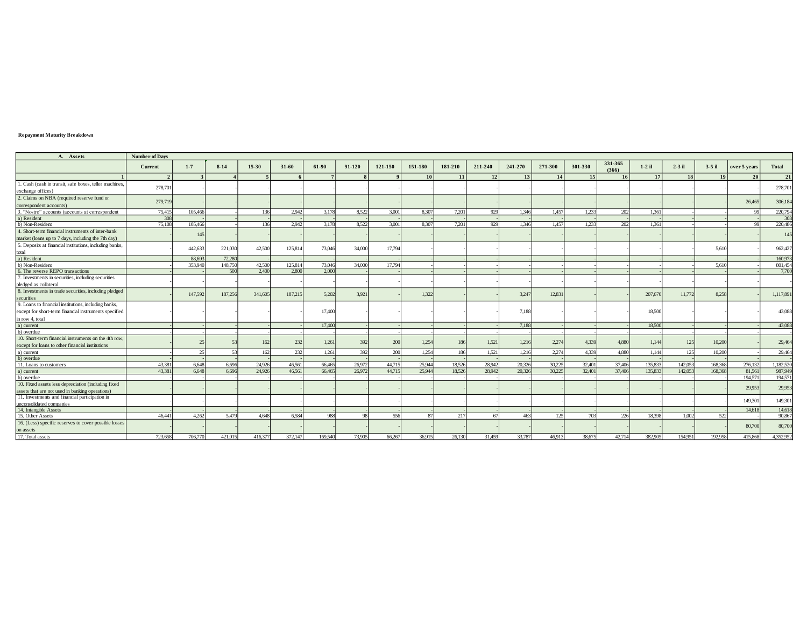## **Repayment Maturity Breakdown**

| A. Assets                                               | <b>Number of Days</b> |         |         |         |         |         |        |         |         |           |         |         |         |         |                  |          |           |                 |              |                  |
|---------------------------------------------------------|-----------------------|---------|---------|---------|---------|---------|--------|---------|---------|-----------|---------|---------|---------|---------|------------------|----------|-----------|-----------------|--------------|------------------|
|                                                         | Current               | $1 - 7$ | $8-14$  | $15-30$ | 31-60   | 61-90   | 91-120 | 121-150 | 151-180 | 181-210   | 211-240 | 241-270 | 271-300 | 301-330 | 331-365<br>(366) | $1-2$ il | $2-3$ il  | $3-5$ il        | over 5 years | <b>Total</b>     |
|                                                         | $\overline{2}$        |         |         |         |         |         |        |         | 10      | <b>11</b> | 12      | 13      | 14      | 15      | 16               | 17       | <b>18</b> | 19 <sup>1</sup> | 20           | 21               |
| 1. Cash (cash in transit, safe boxes, teller machines,  |                       |         |         |         |         |         |        |         |         |           |         |         |         |         |                  |          |           |                 |              |                  |
| exchange offices)                                       | 278,701               |         |         |         |         |         |        |         |         |           |         |         |         |         |                  |          |           |                 |              | 278,701          |
| 2. Claims on NBA (required reserve fund or              |                       |         |         |         |         |         |        |         |         |           |         |         |         |         |                  |          |           |                 |              |                  |
| correspondent accounts)                                 | 279,719               |         |         |         |         |         |        |         |         |           |         |         |         |         |                  |          |           |                 | 26,465       | 306,184          |
| 3. "Nostro" accounts (accounts at correspondent         | 75.415                | 105.466 |         | 136     | 2.942   | 3.178   | 8.522  | 3.001   | 8.307   | 7.201     | 929     | 1.346   | 1.457   | 1.233   | 202              | 1.361    |           |                 | 99           | 220,794          |
| a) Resident                                             | 308                   |         |         |         |         |         |        |         |         |           |         |         |         |         |                  |          |           |                 |              | 308              |
| b) Non-Resident                                         | 75,108                | 105,466 |         | 136     | 2.942   | 3.178   | 8.522  | 3.001   | 8.307   | 7.201     | 929     | 1.346   | 1.457   | 1.233   | 202              | 1.361    |           |                 | $\alpha$     | 220,486          |
| 4. Short-term financial instruments of inter-bank       |                       |         |         |         |         |         |        |         |         |           |         |         |         |         |                  |          |           |                 |              |                  |
| market (loans up to 7 days, including the 7th day)      |                       | 145     |         |         |         |         |        |         |         |           |         |         |         |         |                  |          |           |                 |              | 145              |
| 5. Deposits at financial institutions, including banks, |                       |         |         |         |         |         |        |         |         |           |         |         |         |         |                  |          |           |                 |              |                  |
| total                                                   |                       | 442,633 | 221,030 | 42.500  | 125,814 | 73,046  | 34,000 | 17,794  |         |           |         |         |         |         |                  |          |           | 5.610           |              | 962,427          |
| a) Resident                                             |                       | 88.693  | 72,280  |         |         |         |        |         |         |           |         |         |         |         |                  |          |           |                 |              | 160,97           |
| b) Non-Resident                                         |                       | 353,940 | 148,750 | 42,500  | 125,814 | 73,046  | 34,000 | 17,794  |         |           |         |         |         |         |                  |          |           | 5.610           |              | 801,454          |
| 6. The reverse REPO transactions                        |                       |         | 500     | 2.400   | 2.800   | 2.000   |        |         |         |           |         |         |         |         |                  |          |           |                 |              | 7,700            |
| 7. Investments in securities, including securities      |                       |         |         |         |         |         |        |         |         |           |         |         |         |         |                  |          |           |                 |              |                  |
| pledged as collateral                                   |                       |         |         |         |         |         |        |         |         |           |         |         |         |         |                  |          |           |                 |              |                  |
| 8. Investments in trade securities, including pledged   |                       | 147,592 | 187,256 | 341,605 | 187,215 | 5.202   | 3.921  |         | 1.322   |           |         | 3.247   | 12,831  |         |                  | 207,670  | 11,772    | 8.258           |              | 1,117,891        |
| securities                                              |                       |         |         |         |         |         |        |         |         |           |         |         |         |         |                  |          |           |                 |              |                  |
| 9. Loans to financial institutions, including banks,    |                       |         |         |         |         |         |        |         |         |           |         |         |         |         |                  |          |           |                 |              |                  |
| except for short-term financial instruments specified   |                       |         |         |         |         | 17,400  |        |         |         |           |         | 7.188   |         |         |                  | 18,500   |           |                 |              | 43,088           |
| in row 4, total                                         |                       |         |         |         |         |         |        |         |         |           |         |         |         |         |                  |          |           |                 |              |                  |
| a) current                                              |                       |         |         |         |         | 17,400  |        |         |         |           |         | 7.188   |         |         |                  | 18,500   |           |                 |              | 43,088           |
| b) overdue                                              |                       |         |         |         |         |         |        |         |         |           |         |         |         |         |                  |          |           |                 |              |                  |
| 10. Short-term financial instruments on the 4th row     |                       |         |         | 162     | 232     | 1.261   | 392    | 200     | 1.254   | 186       | 1,521   | 1,216   | 2.274   | 4.339   | 4.880            | 1.144    | 125       | 10.200          |              | 29,464           |
| except for loans to other financial institutions        |                       |         |         |         |         |         |        |         |         |           |         |         |         |         |                  |          |           |                 |              |                  |
| a) current                                              |                       | 25      | 53      | 162     | 232     | 1.261   | 392    | 200     | 1.254   | 186       | 1,521   | 1.216   | 2,274   | 4.339   | 4,880            | 1.144    | 125       | 10.200          |              | 29,46            |
| b) overdue                                              |                       |         |         |         |         |         |        |         |         |           |         |         |         |         |                  |          |           |                 |              |                  |
| 11. Loans to customers                                  | 43.381                | 6.648   | 6.696   | 24,926  | 46.561  | 66,465  | 26.972 | 44.715  | 25.944  | 18.526    | 28.942  | 20.326  | 30.225  | 32.401  | 37.406           | 135.833  | 142.053   | 168.368         | 276,132      | 1,182,520        |
| a) current                                              | 43,381                | 6.648   | 6.696   | 24.926  | 46.561  | 66,465  | 26,972 | 44,715  | 25,944  | 18.526    | 28.942  | 20,326  | 30.225  | 32,401  | 37,406           | 135,833  | 142,053   | 168,368         | 81,561       | 987,949          |
| b) overdue                                              |                       |         |         |         |         |         |        |         |         |           |         |         |         |         |                  |          |           |                 | 194,571      | 194,57           |
| 10. Fixed assets less depreciation (including fixed     |                       |         |         |         |         |         |        |         |         |           |         |         |         |         |                  |          |           |                 | 29,953       | 29,953           |
| assets that are not used in banking operations)         |                       |         |         |         |         |         |        |         |         |           |         |         |         |         |                  |          |           |                 |              |                  |
| 11. Investments and financial participation in          |                       |         |         |         |         |         |        |         |         |           |         |         |         |         |                  |          |           |                 | 149,301      | 149,301          |
| unconsolidated companies                                |                       |         |         |         |         |         |        |         |         |           |         |         |         |         |                  |          |           |                 |              |                  |
| 14. Intangible Assets<br>15. Other Assets               |                       | 4.262   | 5.479   |         |         | 988     | OQ     | 556     |         | 217       | 67      | 463     | 125     | 703     | 226              | 18.398   | 1.002     | 522             | 14,618       | 14,618<br>90.867 |
|                                                         | 46.441                |         |         | 4.648   | 6.584   |         |        |         |         |           |         |         |         |         |                  |          |           |                 |              |                  |
| 16. (Less) specific reserves to cover possible losses   |                       |         |         |         |         |         |        |         |         |           |         |         |         |         |                  |          |           |                 | 80,700       | 80,700           |
| on assets                                               |                       |         |         |         |         |         |        |         |         |           |         |         |         |         |                  |          |           |                 |              |                  |
| 17. Total assets                                        | 723,658               | 706,770 | 421,015 | 416,377 | 372,147 | 169.540 | 73.905 | 66.267  | 36,915  | 26.130    | 31.459  | 33,787  | 46.913  | 38,675  | 42.714           | 382.905  | 154,951   | 192,958         | 415,868      | 4.352,952        |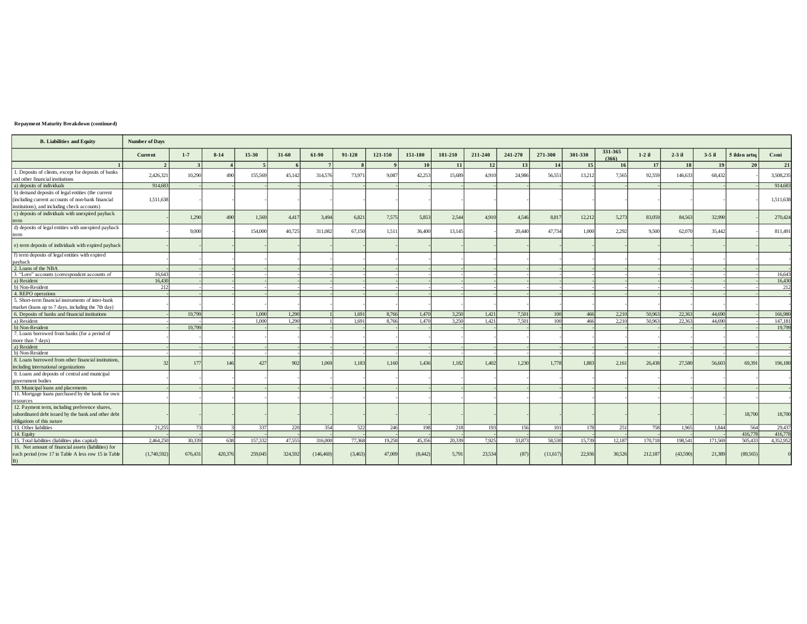## Repayment Maturity Breakdown (continued)

| <b>B.</b> Liabilities and Equity                                                         | <b>Number of Days</b> |                         |         |                |                |                |                |                |                |                |         |         |            |                 |                  |                  |          |                  |               |           |
|------------------------------------------------------------------------------------------|-----------------------|-------------------------|---------|----------------|----------------|----------------|----------------|----------------|----------------|----------------|---------|---------|------------|-----------------|------------------|------------------|----------|------------------|---------------|-----------|
|                                                                                          | Current               | $1 - 7$                 | $8-14$  | $15 - 30$      | $31-60$        | 61-90          | 91-120         | 121-150        | 151-180        | 181-210        | 211-240 | 241-270 | 271-300    | 301-330         | 331-365<br>(366) | $1-2$ il         | $2-3$ il | $3-5$ il         | 5 ildən artıq | Cəmi      |
|                                                                                          | $\overline{2}$        | $\overline{\mathbf{3}}$ |         | $\overline{5}$ | 6              | 7 <sup>1</sup> | $\mathbf{R}$   | $\mathbf{o}$   | <b>10</b>      | 11             | 12      | 13      | 14         | 15 <sup>1</sup> | 16               | 17               | 18       | 19               | 20            | 21        |
| 1. Deposits of clients, except for deposits of banks<br>and other financial institutions | 2.426.321             | 10.290                  | 490     | 155.569        | 45,142         | 314,576        | 73,971         | 9,087          | 42.253         | 15,689         | 4.910   | 24,986  | 56.551     | 13.212          | 7.565            | 92.559           | 146,633  | 68,432           |               | 3,508,235 |
| a) deposits of individuals                                                               | 914,683               |                         |         |                |                |                |                |                |                |                |         |         |            |                 |                  |                  |          |                  |               | 914,683   |
| b) demand deposits of legal entities (the current                                        |                       |                         |         |                |                |                |                |                |                |                |         |         |            |                 |                  |                  |          |                  |               |           |
| (including current accounts of non-bank financial                                        | 1,511,638             |                         |         |                |                |                |                |                |                |                |         |         |            |                 |                  |                  |          |                  |               | 1,511,638 |
| institutions), and including check accounts)                                             |                       |                         |         |                |                |                |                |                |                |                |         |         |            |                 |                  |                  |          |                  |               |           |
| c) deposits of individuals with unexpired payback                                        |                       |                         |         |                |                |                |                |                |                |                |         |         |            |                 |                  |                  |          |                  |               |           |
| term                                                                                     |                       | 1,290                   | 490     | 1,569          | 4,417          | 3,494          | 6,821          | 7,575          | 5,853          | 2,544          | 4.910   | 4.546   | 8,817      | 12,212          | 5,273            | 83,059           | 84,563   | 32,990           |               | 270,424   |
| d) deposits of legal entities with unexpired payback                                     |                       |                         |         |                |                |                |                |                |                |                |         |         |            |                 |                  |                  |          |                  |               |           |
| term                                                                                     |                       | 9,000                   |         | 154,000        | 40,725         | 311,082        | 67.150         | 1,511          | 36,400         | 13,145         |         | 20,440  | 47,734     | 1,000           | 2.292            | 9.500            | 62,070   | 35,442           |               | 811,491   |
|                                                                                          |                       |                         |         |                |                |                |                |                |                |                |         |         |            |                 |                  |                  |          |                  |               |           |
| e) term deposits of individuals with expired payback                                     |                       |                         |         |                |                |                |                |                |                |                |         |         |            |                 |                  |                  |          |                  |               |           |
| f) term deposits of legal entities with expired                                          |                       |                         |         |                |                |                |                |                |                |                |         |         |            |                 |                  |                  |          |                  |               |           |
| payback                                                                                  |                       |                         |         |                |                |                |                |                |                |                |         |         |            |                 |                  |                  |          |                  |               |           |
| 2. Loans of the NBA                                                                      |                       |                         |         |                |                |                |                |                |                |                |         |         |            |                 |                  |                  |          |                  |               |           |
| 3. "Loro" accounts (correspondent accounts of                                            | 16.643                |                         |         |                |                |                |                |                |                |                |         |         |            |                 |                  |                  |          |                  |               | 16,643    |
| a) Resident                                                                              | 16,430                |                         |         |                |                |                |                |                |                |                |         |         |            |                 |                  |                  |          |                  |               | 16,430    |
| b) Non-Resident<br>4. REPO operations                                                    | 212                   |                         |         |                |                |                |                |                |                |                |         |         |            |                 |                  |                  |          |                  |               | 212       |
|                                                                                          |                       |                         |         |                |                |                |                |                |                |                |         |         |            |                 |                  |                  |          |                  |               |           |
| 5. Short-term financial instruments of inter-bank                                        |                       |                         |         |                |                |                |                |                |                |                |         |         |            |                 |                  |                  |          |                  |               |           |
| market (loans up to 7 days, including the 7th day)                                       |                       |                         |         |                |                |                |                |                |                |                |         |         |            |                 |                  |                  |          |                  |               |           |
| 6. Deposits of banks and financial institutions                                          |                       | 19,799                  |         | 1,000<br>1,000 | 1,290<br>1.290 |                | 1.691<br>1.691 | 8,766<br>8.766 | 1,470<br>1.470 | 3,250<br>3,250 | 1,421   | 7,501   | 100<br>100 | 466<br>466      | 2,210            | 50,963<br>50.963 | 22,363   | 44,690<br>44,690 |               | 166,980   |
| a) Resident<br>b) Non-Resident                                                           |                       | 19,799                  |         |                |                |                |                |                |                |                | 1,421   | 7,501   |            |                 | 2,210            |                  | 22,363   |                  |               | 147,181   |
| 7. Loans borrowed from banks (for a period of                                            |                       |                         |         |                |                |                |                |                |                |                |         |         |            |                 |                  |                  |          |                  |               | 19,799    |
| more than 7 days)                                                                        |                       |                         |         |                |                |                |                |                |                |                |         |         |            |                 |                  |                  |          |                  |               |           |
| a) Resident                                                                              |                       |                         |         |                |                |                |                |                |                |                |         |         |            |                 |                  |                  |          |                  |               |           |
| b) Non-Resident                                                                          |                       |                         |         |                |                |                |                |                |                |                |         |         |            |                 |                  |                  |          |                  |               |           |
| 8. Loans borrowed from other financial institutions,                                     |                       |                         |         |                |                |                |                |                |                |                |         |         |            |                 |                  |                  |          |                  |               |           |
| including international organizations                                                    | 32                    | 177                     | 146     | 427            | 902            | 1.069          | 1.183          | 1.160          | 1.436          | 1.182          | 1.402   | 1.230   | 1.778      | 1.883           | 2.161            | 26,438           | 27,580   | 56,603           | 69,391        | 196,180   |
| 9. Loans and deposits of central and municipal                                           |                       |                         |         |                |                |                |                |                |                |                |         |         |            |                 |                  |                  |          |                  |               |           |
| government bodies                                                                        |                       |                         |         |                |                |                |                |                |                |                |         |         |            |                 |                  |                  |          |                  |               |           |
| 10. Municipal loans and placements                                                       |                       |                         |         |                |                |                |                |                |                |                |         |         |            |                 |                  |                  |          |                  |               |           |
| 11. Mortgage loans purchased by the bank for own                                         |                       |                         |         |                |                |                |                |                |                |                |         |         |            |                 |                  |                  |          |                  |               |           |
| resources                                                                                |                       |                         |         |                |                |                |                |                |                |                |         |         |            |                 |                  |                  |          |                  |               |           |
| 12. Payment term, including preference shares,                                           |                       |                         |         |                |                |                |                |                |                |                |         |         |            |                 |                  |                  |          |                  |               |           |
| subordinated debt issued by the bank and other debt                                      |                       |                         |         |                |                |                |                |                |                |                |         |         |            |                 |                  |                  |          |                  | 18,700        | 18,700    |
| obligations of this nature                                                               |                       |                         |         |                |                |                |                |                |                |                |         |         |            |                 |                  |                  |          |                  |               |           |
| 13. Other liabilities                                                                    | 21.255                | 73                      |         | 337            | 220            | 354            | 522            | 246            | 198            | 218            | 193     | 156     | 101        | 178             | 251              | 758              | 1.965    | 1.844            | 564           | 29,437    |
| 14. Equity                                                                               |                       |                         |         |                |                |                |                |                |                |                |         |         |            |                 |                  |                  |          |                  | 416,778       | 416,778   |
| 15. Total liabilities (liabilities plus capital)                                         | 2,464,250             | 30,339                  | 638     | 157,332        | 47.555         | 316,000        | 77,368         | 19.258         | 45.356         | 20.339         | 7.925   | 33,873  | 58.530     | 15,739          | 12,187           | 170.718          | 198.541  | 171.569          | 505,433       | 4.352.952 |
| 16. Net amount of financial assets (liabilities) for                                     |                       |                         |         |                |                |                |                |                |                |                |         |         |            |                 |                  |                  |          |                  |               |           |
| each period (row 17 in Table A less row 15 in Table<br>B)                                | (1,740,592)           | 676,431                 | 420,376 | 259,045        | 324,592        | (146, 460)     | (3,463)        | 47,009         | (8,442)        | 5,791          | 23,534  | (87)    | (11,617)   | 22.936          | 30,526           | 212,187          | (43,590) | 21,389           | (89,565)      |           |
|                                                                                          |                       |                         |         |                |                |                |                |                |                |                |         |         |            |                 |                  |                  |          |                  |               |           |